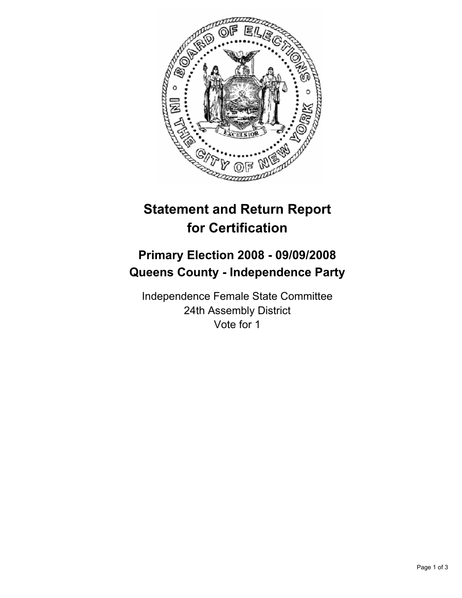

## **Statement and Return Report for Certification**

## **Primary Election 2008 - 09/09/2008 Queens County - Independence Party**

Independence Female State Committee 24th Assembly District Vote for 1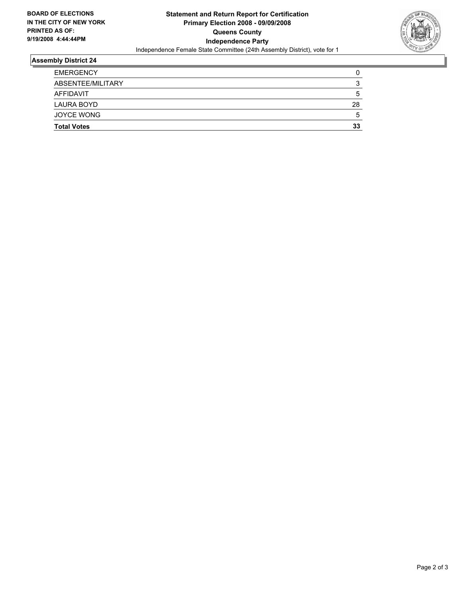

## **Assembly District 24**

| <b>EMERGENCY</b>   |    |
|--------------------|----|
| ABSENTEE/MILITARY  |    |
| AFFIDAVIT          |    |
| LAURA BOYD         | 28 |
| JOYCE WONG         |    |
| <b>Total Votes</b> | 33 |